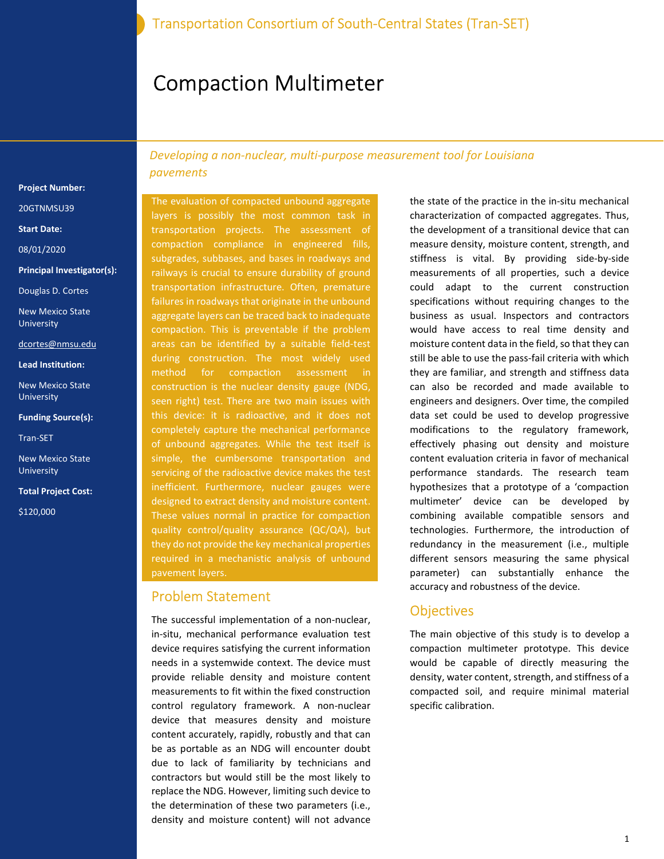# Compaction Multimeter

Project Number:

20GTNMSU39

Start Date:

08/01/2020

Principal Investigator(s):

Douglas D. Cortes

New Mexico State University

dcortes@nmsu.edu

Lead Institution:

New Mexico State University

Funding Source(s):

Tran-SET

New Mexico State University

Total Project Cost:

\$120,000

Developing a non-nuclear, multi-purpose measurement tool for Louisiana pavements

The evaluation of compacted unbound aggregate layers is possibly the most common task in transportation projects. The assessment of compaction compliance in engineered fills, subgrades, subbases, and bases in roadways and railways is crucial to ensure durability of ground transportation infrastructure. Often, premature failures in roadways that originate in the unbound aggregate layers can be traced back to inadequate compaction. This is preventable if the problem areas can be identified by a suitable field-test during construction. The most widely used method for compaction assessment in construction is the nuclear density gauge (NDG, seen right) test. There are two main issues with this device: it is radioactive, and it does not completely capture the mechanical performance of unbound aggregates. While the test itself is simple, the cumbersome transportation and servicing of the radioactive device makes the test inefficient. Furthermore, nuclear gauges were designed to extract density and moisture content. These values normal in practice for compaction quality control/quality assurance (QC/QA), but they do not provide the key mechanical properties required in a mechanistic analysis of unbound pavement layers.

#### Problem Statement

The successful implementation of a non-nuclear, in-situ, mechanical performance evaluation test device requires satisfying the current information needs in a systemwide context. The device must provide reliable density and moisture content measurements to fit within the fixed construction control regulatory framework. A non-nuclear device that measures density and moisture content accurately, rapidly, robustly and that can be as portable as an NDG will encounter doubt due to lack of familiarity by technicians and contractors but would still be the most likely to replace the NDG. However, limiting such device to the determination of these two parameters (i.e., density and moisture content) will not advance

the state of the practice in the in-situ mechanical characterization of compacted aggregates. Thus, the development of a transitional device that can measure density, moisture content, strength, and stiffness is vital. By providing side-by-side measurements of all properties, such a device could adapt to the current construction specifications without requiring changes to the business as usual. Inspectors and contractors would have access to real time density and moisture content data in the field, so that they can still be able to use the pass-fail criteria with which they are familiar, and strength and stiffness data can also be recorded and made available to engineers and designers. Over time, the compiled data set could be used to develop progressive modifications to the regulatory framework, effectively phasing out density and moisture content evaluation criteria in favor of mechanical performance standards. The research team hypothesizes that a prototype of a 'compaction multimeter' device can be developed by combining available compatible sensors and technologies. Furthermore, the introduction of redundancy in the measurement (i.e., multiple different sensors measuring the same physical parameter) can substantially enhance the accuracy and robustness of the device.

#### **Objectives**

The main objective of this study is to develop a compaction multimeter prototype. This device would be capable of directly measuring the density, water content, strength, and stiffness of a compacted soil, and require minimal material specific calibration.